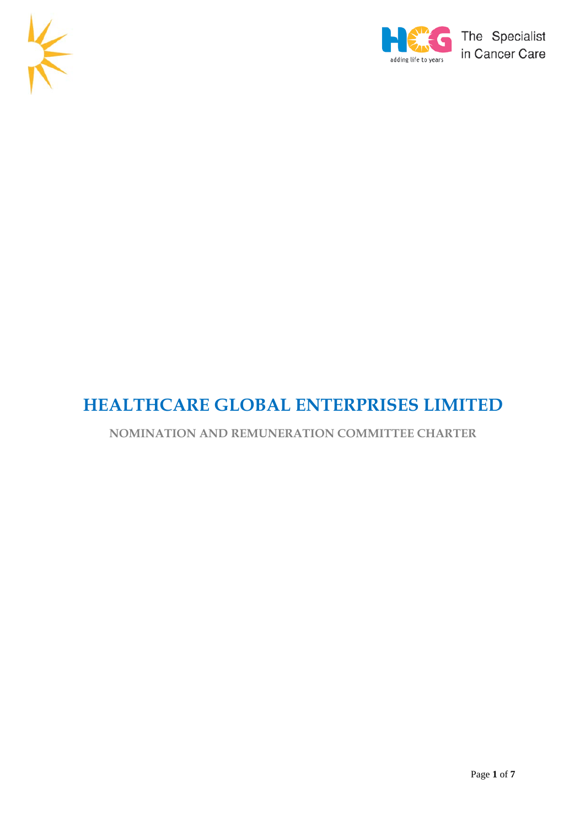



# **HEALTHCARE GLOBAL ENTERPRISES LIMITED**

# **NOMINATION AND REMUNERATION COMMITTEE CHARTER**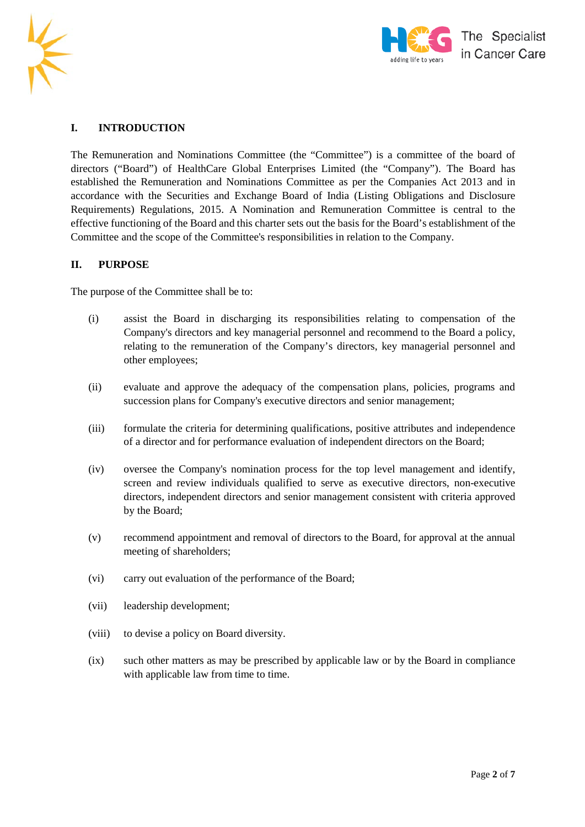



# **I. INTRODUCTION**

The Remuneration and Nominations Committee (the "Committee") is a committee of the board of directors ("Board") of HealthCare Global Enterprises Limited (the "Company"). The Board has established the Remuneration and Nominations Committee as per the Companies Act 2013 and in accordance with the Securities and Exchange Board of India (Listing Obligations and Disclosure Requirements) Regulations, 2015. A Nomination and Remuneration Committee is central to the effective functioning of the Board and this charter sets out the basis for the Board's establishment of the Committee and the scope of the Committee's responsibilities in relation to the Company.

#### **II. PURPOSE**

The purpose of the Committee shall be to:

- (i) assist the Board in discharging its responsibilities relating to compensation of the Company's directors and key managerial personnel and recommend to the Board a policy, relating to the remuneration of the Company's directors, key managerial personnel and other employees;
- (ii) evaluate and approve the adequacy of the compensation plans, policies, programs and succession plans for Company's executive directors and senior management;
- (iii) formulate the criteria for determining qualifications, positive attributes and independence of a director and for performance evaluation of independent directors on the Board;
- (iv) oversee the Company's nomination process for the top level management and identify, screen and review individuals qualified to serve as executive directors, non-executive directors, independent directors and senior management consistent with criteria approved by the Board;
- (v) recommend appointment and removal of directors to the Board, for approval at the annual meeting of shareholders;
- (vi) carry out evaluation of the performance of the Board;
- (vii) leadership development;
- (viii) to devise a policy on Board diversity.
- (ix) such other matters as may be prescribed by applicable law or by the Board in compliance with applicable law from time to time.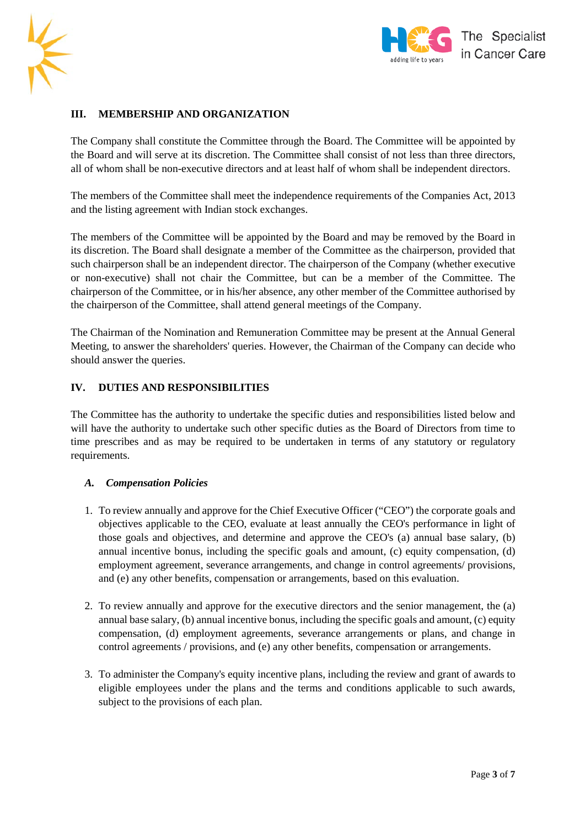



# **III. MEMBERSHIP AND ORGANIZATION**

The Company shall constitute the Committee through the Board. The Committee will be appointed by the Board and will serve at its discretion. The Committee shall consist of not less than three directors, all of whom shall be non-executive directors and at least half of whom shall be independent directors.

The members of the Committee shall meet the independence requirements of the Companies Act, 2013 and the listing agreement with Indian stock exchanges.

The members of the Committee will be appointed by the Board and may be removed by the Board in its discretion. The Board shall designate a member of the Committee as the chairperson, provided that such chairperson shall be an independent director. The chairperson of the Company (whether executive or non-executive) shall not chair the Committee, but can be a member of the Committee. The chairperson of the Committee, or in his/her absence, any other member of the Committee authorised by the chairperson of the Committee, shall attend general meetings of the Company.

The Chairman of the Nomination and Remuneration Committee may be present at the Annual General Meeting, to answer the shareholders' queries. However, the Chairman of the Company can decide who should answer the queries.

#### **IV. DUTIES AND RESPONSIBILITIES**

The Committee has the authority to undertake the specific duties and responsibilities listed below and will have the authority to undertake such other specific duties as the Board of Directors from time to time prescribes and as may be required to be undertaken in terms of any statutory or regulatory requirements.

#### *A. Compensation Policies*

- 1. To review annually and approve for the Chief Executive Officer ("CEO") the corporate goals and objectives applicable to the CEO, evaluate at least annually the CEO's performance in light of those goals and objectives, and determine and approve the CEO's (a) annual base salary, (b) annual incentive bonus, including the specific goals and amount, (c) equity compensation, (d) employment agreement, severance arrangements, and change in control agreements/ provisions, and (e) any other benefits, compensation or arrangements, based on this evaluation.
- 2. To review annually and approve for the executive directors and the senior management, the (a) annual base salary, (b) annual incentive bonus, including the specific goals and amount, (c) equity compensation, (d) employment agreements, severance arrangements or plans, and change in control agreements / provisions, and (e) any other benefits, compensation or arrangements.
- 3. To administer the Company's equity incentive plans, including the review and grant of awards to eligible employees under the plans and the terms and conditions applicable to such awards, subject to the provisions of each plan.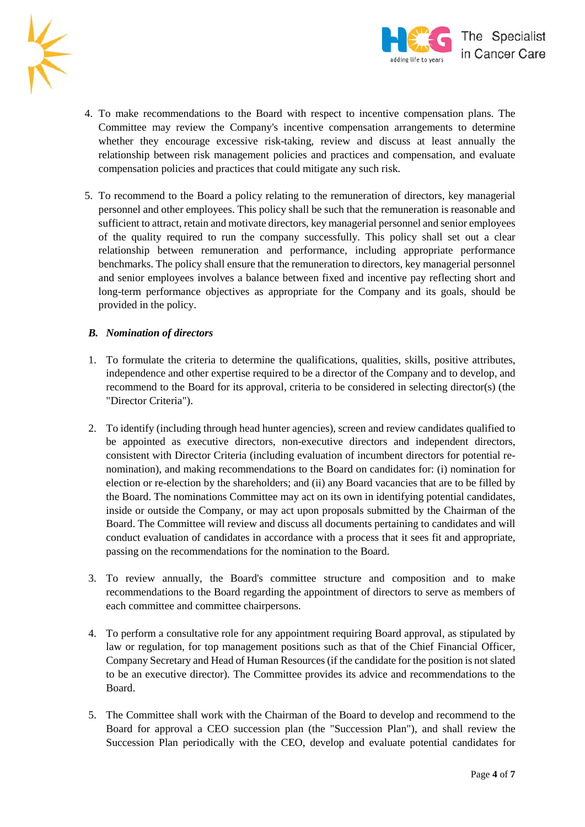



- 4. To make recommendations to the Board with respect to incentive compensation plans. The Committee may review the Company's incentive compensation arrangements to determine whether they encourage excessive risk-taking, review and discuss at least annually the relationship between risk management policies and practices and compensation, and evaluate compensation policies and practices that could mitigate any such risk.
- 5. To recommend to the Board a policy relating to the remuneration of directors, key managerial personnel and other employees. This policy shall be such that the remuneration is reasonable and sufficient to attract, retain and motivate directors, key managerial personnel and senior employees of the quality required to run the company successfully. This policy shall set out a clear relationship between remuneration and performance, including appropriate performance benchmarks. The policy shall ensure that the remuneration to directors, key managerial personnel and senior employees involves a balance between fixed and incentive pay reflecting short and long-term performance objectives as appropriate for the Company and its goals, should be provided in the policy.

# *B. Nomination of directors*

- 1. To formulate the criteria to determine the qualifications, qualities, skills, positive attributes, independence and other expertise required to be a director of the Company and to develop, and recommend to the Board for its approval, criteria to be considered in selecting director(s) (the "Director Criteria").
- 2. To identify (including through head hunter agencies), screen and review candidates qualified to be appointed as executive directors, non-executive directors and independent directors, consistent with Director Criteria (including evaluation of incumbent directors for potential renomination), and making recommendations to the Board on candidates for: (i) nomination for election or re-election by the shareholders; and (ii) any Board vacancies that are to be filled by the Board. The nominations Committee may act on its own in identifying potential candidates, inside or outside the Company, or may act upon proposals submitted by the Chairman of the Board. The Committee will review and discuss all documents pertaining to candidates and will conduct evaluation of candidates in accordance with a process that it sees fit and appropriate, passing on the recommendations for the nomination to the Board.
- 3. To review annually, the Board's committee structure and composition and to make recommendations to the Board regarding the appointment of directors to serve as members of each committee and committee chairpersons.
- 4. To perform a consultative role for any appointment requiring Board approval, as stipulated by law or regulation, for top management positions such as that of the Chief Financial Officer, Company Secretary and Head of Human Resources (if the candidate for the position is not slated to be an executive director). The Committee provides its advice and recommendations to the Board.
- 5. The Committee shall work with the Chairman of the Board to develop and recommend to the Board for approval a CEO succession plan (the "Succession Plan"), and shall review the Succession Plan periodically with the CEO, develop and evaluate potential candidates for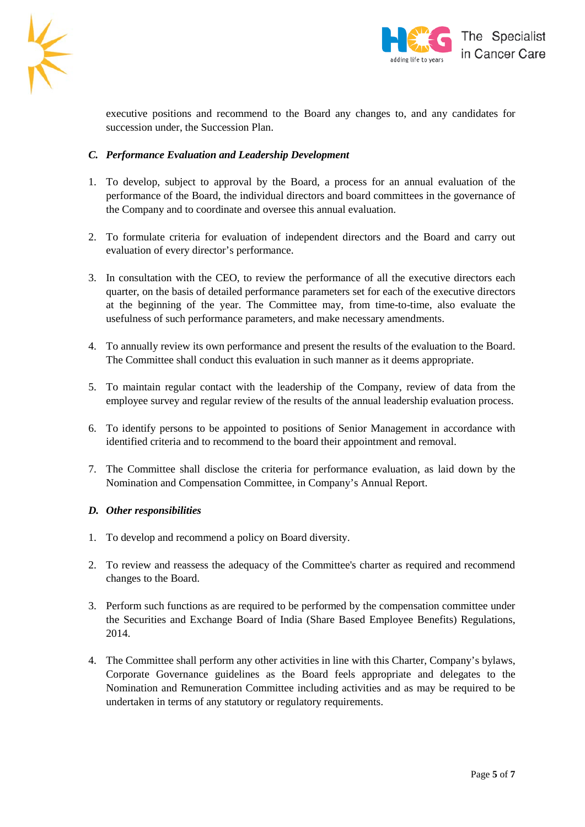



executive positions and recommend to the Board any changes to, and any candidates for succession under, the Succession Plan.

# *C. Performance Evaluation and Leadership Development*

- 1. To develop, subject to approval by the Board, a process for an annual evaluation of the performance of the Board, the individual directors and board committees in the governance of the Company and to coordinate and oversee this annual evaluation.
- 2. To formulate criteria for evaluation of independent directors and the Board and carry out evaluation of every director's performance.
- 3. In consultation with the CEO, to review the performance of all the executive directors each quarter, on the basis of detailed performance parameters set for each of the executive directors at the beginning of the year. The Committee may, from time-to-time, also evaluate the usefulness of such performance parameters, and make necessary amendments.
- 4. To annually review its own performance and present the results of the evaluation to the Board. The Committee shall conduct this evaluation in such manner as it deems appropriate.
- 5. To maintain regular contact with the leadership of the Company, review of data from the employee survey and regular review of the results of the annual leadership evaluation process.
- 6. To identify persons to be appointed to positions of Senior Management in accordance with identified criteria and to recommend to the board their appointment and removal.
- 7. The Committee shall disclose the criteria for performance evaluation, as laid down by the Nomination and Compensation Committee, in Company's Annual Report.

#### *D. Other responsibilities*

- 1. To develop and recommend a policy on Board diversity.
- 2. To review and reassess the adequacy of the Committee's charter as required and recommend changes to the Board.
- 3. Perform such functions as are required to be performed by the compensation committee under the Securities and Exchange Board of India (Share Based Employee Benefits) Regulations, 2014.
- 4. The Committee shall perform any other activities in line with this Charter, Company's bylaws, Corporate Governance guidelines as the Board feels appropriate and delegates to the Nomination and Remuneration Committee including activities and as may be required to be undertaken in terms of any statutory or regulatory requirements.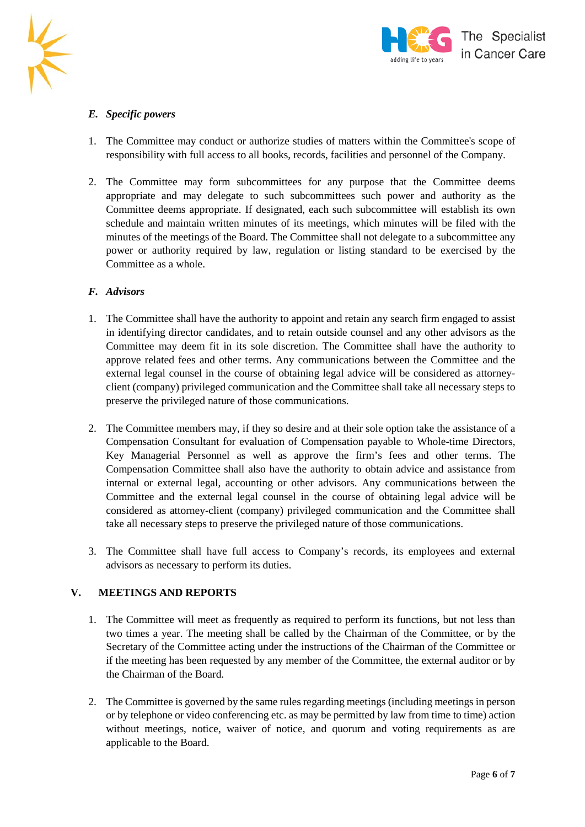



# *E. Specific powers*

- 1. The Committee may conduct or authorize studies of matters within the Committee's scope of responsibility with full access to all books, records, facilities and personnel of the Company.
- 2. The Committee may form subcommittees for any purpose that the Committee deems appropriate and may delegate to such subcommittees such power and authority as the Committee deems appropriate. If designated, each such subcommittee will establish its own schedule and maintain written minutes of its meetings, which minutes will be filed with the minutes of the meetings of the Board. The Committee shall not delegate to a subcommittee any power or authority required by law, regulation or listing standard to be exercised by the Committee as a whole.

#### *F. Advisors*

- 1. The Committee shall have the authority to appoint and retain any search firm engaged to assist in identifying director candidates, and to retain outside counsel and any other advisors as the Committee may deem fit in its sole discretion. The Committee shall have the authority to approve related fees and other terms. Any communications between the Committee and the external legal counsel in the course of obtaining legal advice will be considered as attorneyclient (company) privileged communication and the Committee shall take all necessary steps to preserve the privileged nature of those communications.
- 2. The Committee members may, if they so desire and at their sole option take the assistance of a Compensation Consultant for evaluation of Compensation payable to Whole-time Directors, Key Managerial Personnel as well as approve the firm's fees and other terms. The Compensation Committee shall also have the authority to obtain advice and assistance from internal or external legal, accounting or other advisors. Any communications between the Committee and the external legal counsel in the course of obtaining legal advice will be considered as attorney-client (company) privileged communication and the Committee shall take all necessary steps to preserve the privileged nature of those communications.
- 3. The Committee shall have full access to Company's records, its employees and external advisors as necessary to perform its duties.

# **V. MEETINGS AND REPORTS**

- 1. The Committee will meet as frequently as required to perform its functions, but not less than two times a year. The meeting shall be called by the Chairman of the Committee, or by the Secretary of the Committee acting under the instructions of the Chairman of the Committee or if the meeting has been requested by any member of the Committee, the external auditor or by the Chairman of the Board.
- 2. The Committee is governed by the same rules regarding meetings (including meetings in person or by telephone or video conferencing etc. as may be permitted by law from time to time) action without meetings, notice, waiver of notice, and quorum and voting requirements as are applicable to the Board.